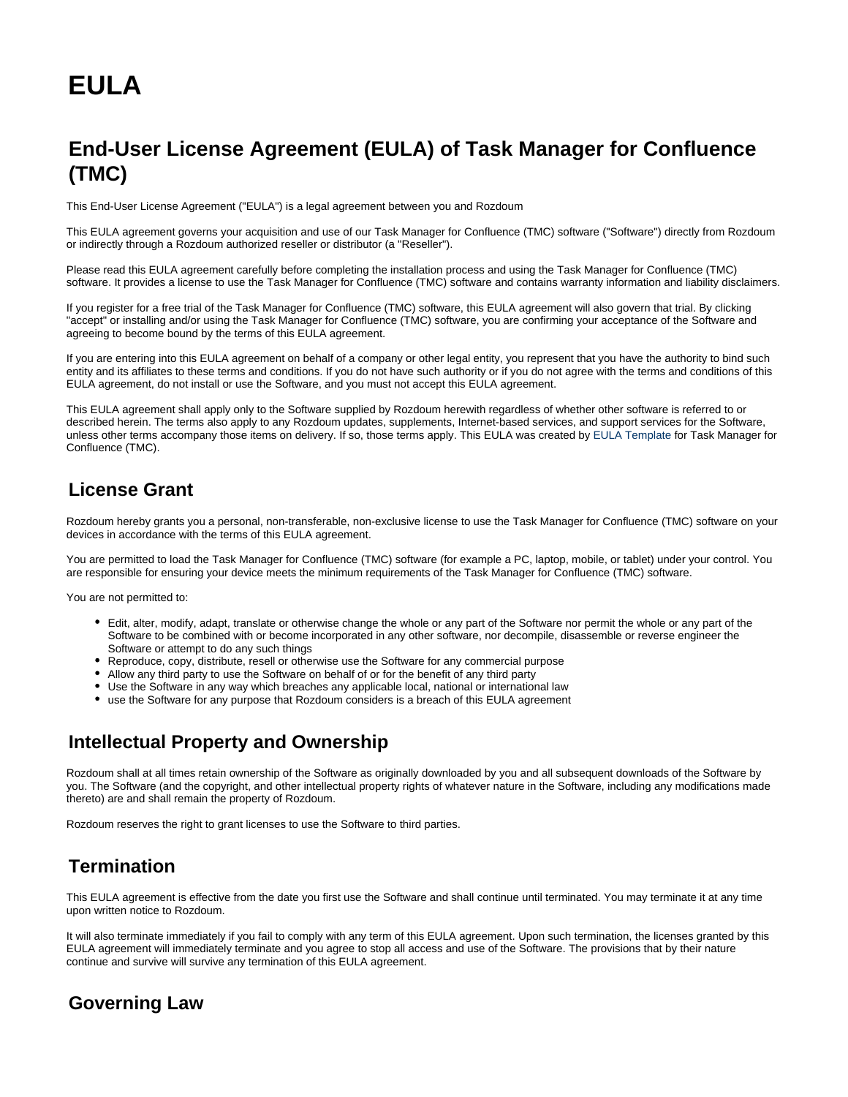# **EULA**

## **End-User License Agreement (EULA) of Task Manager for Confluence (TMC)**

This End-User License Agreement ("EULA") is a legal agreement between you and Rozdoum

This EULA agreement governs your acquisition and use of our Task Manager for Confluence (TMC) software ("Software") directly from Rozdoum or indirectly through a Rozdoum authorized reseller or distributor (a "Reseller").

Please read this EULA agreement carefully before completing the installation process and using the Task Manager for Confluence (TMC) software. It provides a license to use the Task Manager for Confluence (TMC) software and contains warranty information and liability disclaimers.

If you register for a free trial of the Task Manager for Confluence (TMC) software, this EULA agreement will also govern that trial. By clicking "accept" or installing and/or using the Task Manager for Confluence (TMC) software, you are confirming your acceptance of the Software and agreeing to become bound by the terms of this EULA agreement.

If you are entering into this EULA agreement on behalf of a company or other legal entity, you represent that you have the authority to bind such entity and its affiliates to these terms and conditions. If you do not have such authority or if you do not agree with the terms and conditions of this EULA agreement, do not install or use the Software, and you must not accept this EULA agreement.

This EULA agreement shall apply only to the Software supplied by Rozdoum herewith regardless of whether other software is referred to or described herein. The terms also apply to any Rozdoum updates, supplements, Internet-based services, and support services for the Software, unless other terms accompany those items on delivery. If so, those terms apply. This EULA was created by [EULA Template](https://eulatemplate.com/) for Task Manager for Confluence (TMC).

#### **License Grant**

Rozdoum hereby grants you a personal, non-transferable, non-exclusive license to use the Task Manager for Confluence (TMC) software on your devices in accordance with the terms of this EULA agreement.

You are permitted to load the Task Manager for Confluence (TMC) software (for example a PC, laptop, mobile, or tablet) under your control. You are responsible for ensuring your device meets the minimum requirements of the Task Manager for Confluence (TMC) software.

You are not permitted to:

- Edit, alter, modify, adapt, translate or otherwise change the whole or any part of the Software nor permit the whole or any part of the Software to be combined with or become incorporated in any other software, nor decompile, disassemble or reverse engineer the Software or attempt to do any such things
- Reproduce, copy, distribute, resell or otherwise use the Software for any commercial purpose
- Allow any third party to use the Software on behalf of or for the benefit of any third party
- Use the Software in any way which breaches any applicable local, national or international law
- use the Software for any purpose that Rozdoum considers is a breach of this EULA agreement

#### **Intellectual Property and Ownership**

Rozdoum shall at all times retain ownership of the Software as originally downloaded by you and all subsequent downloads of the Software by you. The Software (and the copyright, and other intellectual property rights of whatever nature in the Software, including any modifications made thereto) are and shall remain the property of Rozdoum.

Rozdoum reserves the right to grant licenses to use the Software to third parties.

### **Termination**

This EULA agreement is effective from the date you first use the Software and shall continue until terminated. You may terminate it at any time upon written notice to Rozdoum.

It will also terminate immediately if you fail to comply with any term of this EULA agreement. Upon such termination, the licenses granted by this EULA agreement will immediately terminate and you agree to stop all access and use of the Software. The provisions that by their nature continue and survive will survive any termination of this EULA agreement.

#### **Governing Law**